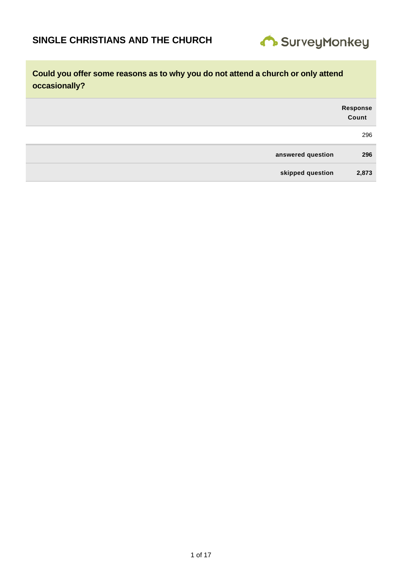

|                   | Response<br>Count |
|-------------------|-------------------|
|                   | 296               |
| answered question | 296               |
| skipped question  | 2,873             |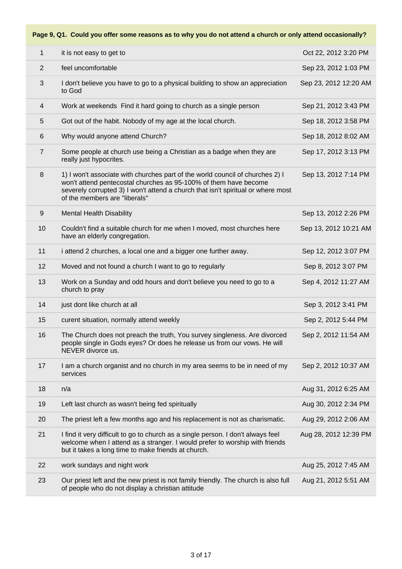| 1              | it is not easy to get to                                                                                                                                                                                                                                               | Oct 22, 2012 3:20 PM  |
|----------------|------------------------------------------------------------------------------------------------------------------------------------------------------------------------------------------------------------------------------------------------------------------------|-----------------------|
| $\overline{2}$ | feel uncomfortable                                                                                                                                                                                                                                                     | Sep 23, 2012 1:03 PM  |
| 3              | I don't believe you have to go to a physical building to show an appreciation<br>to God                                                                                                                                                                                | Sep 23, 2012 12:20 AM |
| 4              | Work at weekends Find it hard going to church as a single person                                                                                                                                                                                                       | Sep 21, 2012 3:43 PM  |
| 5              | Got out of the habit. Nobody of my age at the local church.                                                                                                                                                                                                            | Sep 18, 2012 3:58 PM  |
| $6\,$          | Why would anyone attend Church?                                                                                                                                                                                                                                        | Sep 18, 2012 8:02 AM  |
| $\overline{7}$ | Some people at church use being a Christian as a badge when they are<br>really just hypocrites.                                                                                                                                                                        | Sep 17, 2012 3:13 PM  |
| 8              | 1) I won't associate with churches part of the world council of churches 2) I<br>won't attend pentecostal churches as 95-100% of them have become<br>severely corrupted 3) I won't attend a church that isn't spiritual or where most<br>of the members are "liberals" | Sep 13, 2012 7:14 PM  |
| 9              | <b>Mental Health Disability</b>                                                                                                                                                                                                                                        | Sep 13, 2012 2:26 PM  |
| 10             | Couldn't find a suitable church for me when I moved, most churches here<br>have an elderly congregation.                                                                                                                                                               | Sep 13, 2012 10:21 AM |
| 11             | i attend 2 churches, a local one and a bigger one further away.                                                                                                                                                                                                        | Sep 12, 2012 3:07 PM  |
| 12             | Moved and not found a church I want to go to regularly                                                                                                                                                                                                                 | Sep 8, 2012 3:07 PM   |
| 13             | Work on a Sunday and odd hours and don't believe you need to go to a<br>church to pray                                                                                                                                                                                 | Sep 4, 2012 11:27 AM  |
| 14             | just dont like church at all                                                                                                                                                                                                                                           | Sep 3, 2012 3:41 PM   |
| 15             | curent situation, normally attend weekly                                                                                                                                                                                                                               | Sep 2, 2012 5:44 PM   |
| 16             | The Church does not preach the truth, You survey singleness. Are divorced<br>people single in Gods eyes? Or does he release us from our vows. He will<br>NEVER divorce us.                                                                                             | Sep 2, 2012 11:54 AM  |
| 17             | I am a church organist and no church in my area seems to be in need of my<br>services                                                                                                                                                                                  | Sep 2, 2012 10:37 AM  |
| 18             | n/a                                                                                                                                                                                                                                                                    | Aug 31, 2012 6:25 AM  |
| 19             | Left last church as wasn't being fed spiritually                                                                                                                                                                                                                       | Aug 30, 2012 2:34 PM  |
| 20             | The priest left a few months ago and his replacement is not as charismatic.                                                                                                                                                                                            | Aug 29, 2012 2:06 AM  |
| 21             | I find it very difficult to go to church as a single person. I don't always feel<br>welcome when I attend as a stranger. I would prefer to worship with friends<br>but it takes a long time to make friends at church.                                                 | Aug 28, 2012 12:39 PM |
| 22             | work sundays and night work                                                                                                                                                                                                                                            | Aug 25, 2012 7:45 AM  |
| 23             | Our priest left and the new priest is not family friendly. The church is also full<br>of people who do not display a christian attitude                                                                                                                                | Aug 21, 2012 5:51 AM  |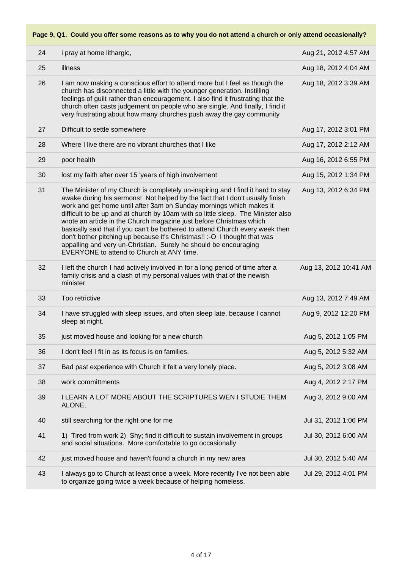| 24 | i pray at home lithargic,                                                                                                                                                                                                                                                                                                                                                                                                                                                                                                                                                                                                                                                        | Aug 21, 2012 4:57 AM  |
|----|----------------------------------------------------------------------------------------------------------------------------------------------------------------------------------------------------------------------------------------------------------------------------------------------------------------------------------------------------------------------------------------------------------------------------------------------------------------------------------------------------------------------------------------------------------------------------------------------------------------------------------------------------------------------------------|-----------------------|
| 25 | illness                                                                                                                                                                                                                                                                                                                                                                                                                                                                                                                                                                                                                                                                          | Aug 18, 2012 4:04 AM  |
| 26 | I am now making a conscious effort to attend more but I feel as though the<br>church has disconnected a little with the younger generation. Instilling<br>feelings of guilt rather than encouragement. I also find it frustrating that the<br>church often casts judgement on people who are single. And finally, I find it<br>very frustrating about how many churches push away the gay community                                                                                                                                                                                                                                                                              | Aug 18, 2012 3:39 AM  |
| 27 | Difficult to settle somewhere                                                                                                                                                                                                                                                                                                                                                                                                                                                                                                                                                                                                                                                    | Aug 17, 2012 3:01 PM  |
| 28 | Where I live there are no vibrant churches that I like                                                                                                                                                                                                                                                                                                                                                                                                                                                                                                                                                                                                                           | Aug 17, 2012 2:12 AM  |
| 29 | poor health                                                                                                                                                                                                                                                                                                                                                                                                                                                                                                                                                                                                                                                                      | Aug 16, 2012 6:55 PM  |
| 30 | lost my faith after over 15 'years of high involvement                                                                                                                                                                                                                                                                                                                                                                                                                                                                                                                                                                                                                           | Aug 15, 2012 1:34 PM  |
| 31 | The Minister of my Church is completely un-inspiring and I find it hard to stay<br>awake during his sermons! Not helped by the fact that I don't usually finish<br>work and get home until after 3am on Sunday mornings which makes it<br>difficult to be up and at church by 10am with so little sleep. The Minister also<br>wrote an article in the Church magazine just before Christmas which<br>basically said that if you can't be bothered to attend Church every week then<br>don't bother pitching up because it's Christmas!! :- O I thought that was<br>appalling and very un-Christian. Surely he should be encouraging<br>EVERYONE to attend to Church at ANY time. | Aug 13, 2012 6:34 PM  |
| 32 | I left the church I had actively involved in for a long period of time after a<br>family crisis and a clash of my personal values with that of the newish<br>minister                                                                                                                                                                                                                                                                                                                                                                                                                                                                                                            | Aug 13, 2012 10:41 AM |
| 33 | Too retrictive                                                                                                                                                                                                                                                                                                                                                                                                                                                                                                                                                                                                                                                                   | Aug 13, 2012 7:49 AM  |
| 34 | I have struggled with sleep issues, and often sleep late, because I cannot<br>sleep at night.                                                                                                                                                                                                                                                                                                                                                                                                                                                                                                                                                                                    | Aug 9, 2012 12:20 PM  |
| 35 | just moved house and looking for a new church                                                                                                                                                                                                                                                                                                                                                                                                                                                                                                                                                                                                                                    | Aug 5, 2012 1:05 PM   |
| 36 | I don't feel I fit in as its focus is on families.                                                                                                                                                                                                                                                                                                                                                                                                                                                                                                                                                                                                                               | Aug 5, 2012 5:32 AM   |
| 37 | Bad past experience with Church it felt a very lonely place.                                                                                                                                                                                                                                                                                                                                                                                                                                                                                                                                                                                                                     | Aug 5, 2012 3:08 AM   |
| 38 | work committments                                                                                                                                                                                                                                                                                                                                                                                                                                                                                                                                                                                                                                                                | Aug 4, 2012 2:17 PM   |
| 39 | <b>I LEARN A LOT MORE ABOUT THE SCRIPTURES WEN I STUDIE THEM</b><br>ALONE.                                                                                                                                                                                                                                                                                                                                                                                                                                                                                                                                                                                                       | Aug 3, 2012 9:00 AM   |
| 40 | still searching for the right one for me                                                                                                                                                                                                                                                                                                                                                                                                                                                                                                                                                                                                                                         | Jul 31, 2012 1:06 PM  |
| 41 | 1) Tired from work 2) Shy; find it difficult to sustain involvement in groups<br>and social situations. More comfortable to go occasionally                                                                                                                                                                                                                                                                                                                                                                                                                                                                                                                                      | Jul 30, 2012 6:00 AM  |
| 42 | just moved house and haven't found a church in my new area                                                                                                                                                                                                                                                                                                                                                                                                                                                                                                                                                                                                                       | Jul 30, 2012 5:40 AM  |
| 43 | I always go to Church at least once a week. More recently I've not been able<br>to organize going twice a week because of helping homeless.                                                                                                                                                                                                                                                                                                                                                                                                                                                                                                                                      | Jul 29, 2012 4:01 PM  |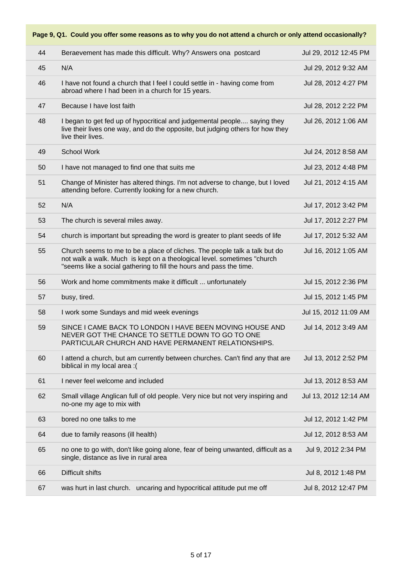**Page 9, Q1. Could you offer some reasons as to why you do not attend a church or only attend occasionally?**

| 44 | Beraevement has made this difficult. Why? Answers ona postcard                                                                                                                                                               | Jul 29, 2012 12:45 PM |
|----|------------------------------------------------------------------------------------------------------------------------------------------------------------------------------------------------------------------------------|-----------------------|
| 45 | N/A                                                                                                                                                                                                                          | Jul 29, 2012 9:32 AM  |
| 46 | I have not found a church that I feel I could settle in - having come from<br>abroad where I had been in a church for 15 years.                                                                                              | Jul 28, 2012 4:27 PM  |
| 47 | Because I have lost faith                                                                                                                                                                                                    | Jul 28, 2012 2:22 PM  |
| 48 | I began to get fed up of hypocritical and judgemental people saying they<br>live their lives one way, and do the opposite, but judging others for how they<br>live their lives.                                              | Jul 26, 2012 1:06 AM  |
| 49 | <b>School Work</b>                                                                                                                                                                                                           | Jul 24, 2012 8:58 AM  |
| 50 | I have not managed to find one that suits me                                                                                                                                                                                 | Jul 23, 2012 4:48 PM  |
| 51 | Change of Minister has altered things. I'm not adverse to change, but I loved<br>attending before. Currently looking for a new church.                                                                                       | Jul 21, 2012 4:15 AM  |
| 52 | N/A                                                                                                                                                                                                                          | Jul 17, 2012 3:42 PM  |
| 53 | The church is several miles away.                                                                                                                                                                                            | Jul 17, 2012 2:27 PM  |
| 54 | church is important but spreading the word is greater to plant seeds of life                                                                                                                                                 | Jul 17, 2012 5:32 AM  |
| 55 | Church seems to me to be a place of cliches. The people talk a talk but do<br>not walk a walk. Much is kept on a theological level. sometimes "church<br>"seems like a social gathering to fill the hours and pass the time. | Jul 16, 2012 1:05 AM  |
| 56 | Work and home commitments make it difficult  unfortunately                                                                                                                                                                   | Jul 15, 2012 2:36 PM  |
| 57 | busy, tired.                                                                                                                                                                                                                 | Jul 15, 2012 1:45 PM  |
| 58 | I work some Sundays and mid week evenings                                                                                                                                                                                    | Jul 15, 2012 11:09 AM |
| 59 | SINCE I CAME BACK TO LONDON I HAVE BEEN MOVING HOUSE AND<br>NEVER GOT THE CHANCE TO SETTLE DOWN TO GO TO ONE<br>PARTICULAR CHURCH AND HAVE PERMANENT RELATIONSHIPS.                                                          | Jul 14, 2012 3:49 AM  |
| 60 | I attend a church, but am currently between churches. Can't find any that are<br>biblical in my local area :(                                                                                                                | Jul 13, 2012 2:52 PM  |
| 61 | I never feel welcome and included                                                                                                                                                                                            | Jul 13, 2012 8:53 AM  |
| 62 | Small village Anglican full of old people. Very nice but not very inspiring and<br>no-one my age to mix with                                                                                                                 | Jul 13, 2012 12:14 AM |
| 63 | bored no one talks to me                                                                                                                                                                                                     | Jul 12, 2012 1:42 PM  |
| 64 | due to family reasons (ill health)                                                                                                                                                                                           | Jul 12, 2012 8:53 AM  |
| 65 | no one to go with, don't like going alone, fear of being unwanted, difficult as a<br>single, distance as live in rural area                                                                                                  | Jul 9, 2012 2:34 PM   |
| 66 | <b>Difficult shifts</b>                                                                                                                                                                                                      | Jul 8, 2012 1:48 PM   |
| 67 | was hurt in last church. uncaring and hypocritical attitude put me off                                                                                                                                                       | Jul 8, 2012 12:47 PM  |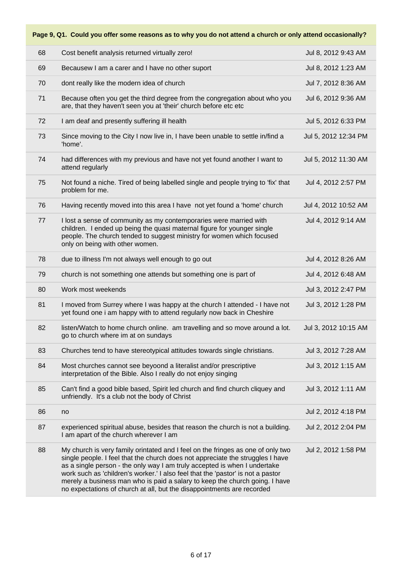| 68 | Cost benefit analysis returned virtually zero!                                                                                                                                                                                                                                                                                                                                                                                                                                             | Jul 8, 2012 9:43 AM  |
|----|--------------------------------------------------------------------------------------------------------------------------------------------------------------------------------------------------------------------------------------------------------------------------------------------------------------------------------------------------------------------------------------------------------------------------------------------------------------------------------------------|----------------------|
| 69 | Becausew I am a carer and I have no other suport                                                                                                                                                                                                                                                                                                                                                                                                                                           | Jul 8, 2012 1:23 AM  |
| 70 | dont really like the modern idea of church                                                                                                                                                                                                                                                                                                                                                                                                                                                 | Jul 7, 2012 8:36 AM  |
| 71 | Because often you get the third degree from the congregation about who you<br>are, that they haven't seen you at 'their' church before etc etc                                                                                                                                                                                                                                                                                                                                             | Jul 6, 2012 9:36 AM  |
| 72 | I am deaf and presently suffering ill health                                                                                                                                                                                                                                                                                                                                                                                                                                               | Jul 5, 2012 6:33 PM  |
| 73 | Since moving to the City I now live in, I have been unable to settle in/find a<br>'home'.                                                                                                                                                                                                                                                                                                                                                                                                  | Jul 5, 2012 12:34 PM |
| 74 | had differences with my previous and have not yet found another I want to<br>attend regularly                                                                                                                                                                                                                                                                                                                                                                                              | Jul 5, 2012 11:30 AM |
| 75 | Not found a niche. Tired of being labelled single and people trying to 'fix' that<br>problem for me.                                                                                                                                                                                                                                                                                                                                                                                       | Jul 4, 2012 2:57 PM  |
| 76 | Having recently moved into this area I have not yet found a 'home' church                                                                                                                                                                                                                                                                                                                                                                                                                  | Jul 4, 2012 10:52 AM |
| 77 | I lost a sense of community as my contemporaries were married with<br>children. I ended up being the quasi maternal figure for younger single<br>people. The church tended to suggest ministry for women which focused<br>only on being with other women.                                                                                                                                                                                                                                  | Jul 4, 2012 9:14 AM  |
| 78 | due to illness I'm not always well enough to go out                                                                                                                                                                                                                                                                                                                                                                                                                                        | Jul 4, 2012 8:26 AM  |
| 79 | church is not something one attends but something one is part of                                                                                                                                                                                                                                                                                                                                                                                                                           | Jul 4, 2012 6:48 AM  |
| 80 | Work most weekends                                                                                                                                                                                                                                                                                                                                                                                                                                                                         | Jul 3, 2012 2:47 PM  |
| 81 | I moved from Surrey where I was happy at the church I attended - I have not<br>yet found one i am happy with to attend regularly now back in Cheshire                                                                                                                                                                                                                                                                                                                                      | Jul 3, 2012 1:28 PM  |
| 82 | listen/Watch to home church online. am travelling and so move around a lot.<br>go to church where im at on sundays                                                                                                                                                                                                                                                                                                                                                                         | Jul 3, 2012 10:15 AM |
| 83 | Churches tend to have stereotypical attitudes towards single christians.                                                                                                                                                                                                                                                                                                                                                                                                                   | Jul 3, 2012 7:28 AM  |
| 84 | Most churches cannot see beyoond a literalist and/or prescriptive<br>interpretation of the Bible. Also I really do not enjoy singing                                                                                                                                                                                                                                                                                                                                                       | Jul 3, 2012 1:15 AM  |
| 85 | Can't find a good bible based, Spirit led church and find church cliquey and<br>unfriendly. It's a club not the body of Christ                                                                                                                                                                                                                                                                                                                                                             | Jul 3, 2012 1:11 AM  |
| 86 | no                                                                                                                                                                                                                                                                                                                                                                                                                                                                                         | Jul 2, 2012 4:18 PM  |
| 87 | experienced spiritual abuse, besides that reason the church is not a building.<br>I am apart of the church wherever I am                                                                                                                                                                                                                                                                                                                                                                   | Jul 2, 2012 2:04 PM  |
| 88 | My church is very family orintated and I feel on the fringes as one of only two<br>single people. I feel that the church does not appreciate the struggles I have<br>as a single person - the only way I am truly accepted is when I undertake<br>work such as 'children's worker.' I also feel that the 'pastor' is not a pastor<br>merely a business man who is paid a salary to keep the church going. I have<br>no expectations of church at all, but the disappointments are recorded | Jul 2, 2012 1:58 PM  |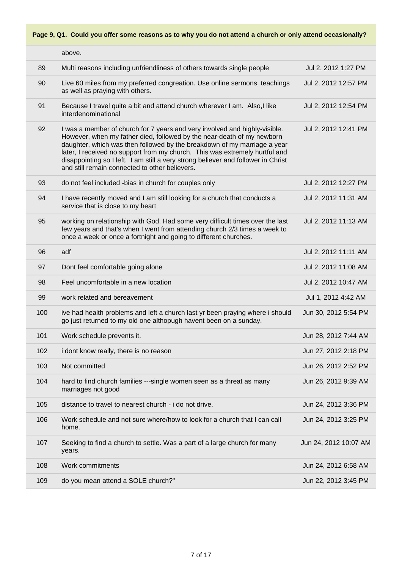|     | above.                                                                                                                                                                                                                                                                                                                                                                                                                                                 |                       |
|-----|--------------------------------------------------------------------------------------------------------------------------------------------------------------------------------------------------------------------------------------------------------------------------------------------------------------------------------------------------------------------------------------------------------------------------------------------------------|-----------------------|
| 89  | Multi reasons including unfriendliness of others towards single people                                                                                                                                                                                                                                                                                                                                                                                 | Jul 2, 2012 1:27 PM   |
| 90  | Live 60 miles from my preferred congreation. Use online sermons, teachings<br>as well as praying with others.                                                                                                                                                                                                                                                                                                                                          | Jul 2, 2012 12:57 PM  |
| 91  | Because I travel quite a bit and attend church wherever I am. Also, I like<br>interdenominational                                                                                                                                                                                                                                                                                                                                                      | Jul 2, 2012 12:54 PM  |
| 92  | I was a member of church for 7 years and very involved and highly-visible.<br>However, when my father died, followed by the near-death of my newborn<br>daughter, which was then followed by the breakdown of my marriage a year<br>later, I received no support from my church. This was extremely hurtful and<br>disappointing so I left. I am still a very strong believer and follower in Christ<br>and still remain connected to other believers. | Jul 2, 2012 12:41 PM  |
| 93  | do not feel included -bias in church for couples only                                                                                                                                                                                                                                                                                                                                                                                                  | Jul 2, 2012 12:27 PM  |
| 94  | I have recently moved and I am still looking for a church that conducts a<br>service that is close to my heart                                                                                                                                                                                                                                                                                                                                         | Jul 2, 2012 11:31 AM  |
| 95  | working on relationship with God. Had some very difficult times over the last<br>few years and that's when I went from attending church 2/3 times a week to<br>once a week or once a fortnight and going to different churches.                                                                                                                                                                                                                        | Jul 2, 2012 11:13 AM  |
| 96  | adf                                                                                                                                                                                                                                                                                                                                                                                                                                                    | Jul 2, 2012 11:11 AM  |
| 97  | Dont feel comfortable going alone                                                                                                                                                                                                                                                                                                                                                                                                                      | Jul 2, 2012 11:08 AM  |
| 98  | Feel uncomfortable in a new location                                                                                                                                                                                                                                                                                                                                                                                                                   | Jul 2, 2012 10:47 AM  |
| 99  | work related and bereavement                                                                                                                                                                                                                                                                                                                                                                                                                           | Jul 1, 2012 4:42 AM   |
| 100 | ive had health problems and left a church last yr been praying where i should<br>go just returned to my old one althopugh havent been on a sunday.                                                                                                                                                                                                                                                                                                     | Jun 30, 2012 5:54 PM  |
| 101 | Work schedule prevents it.                                                                                                                                                                                                                                                                                                                                                                                                                             | Jun 28, 2012 7:44 AM  |
| 102 | i dont know really, there is no reason                                                                                                                                                                                                                                                                                                                                                                                                                 | Jun 27, 2012 2:18 PM  |
| 103 | Not committed                                                                                                                                                                                                                                                                                                                                                                                                                                          | Jun 26, 2012 2:52 PM  |
| 104 | hard to find church families ---single women seen as a threat as many<br>marriages not good                                                                                                                                                                                                                                                                                                                                                            | Jun 26, 2012 9:39 AM  |
| 105 | distance to travel to nearest church - i do not drive.                                                                                                                                                                                                                                                                                                                                                                                                 | Jun 24, 2012 3:36 PM  |
| 106 | Work schedule and not sure where/how to look for a church that I can call<br>home.                                                                                                                                                                                                                                                                                                                                                                     | Jun 24, 2012 3:25 PM  |
| 107 | Seeking to find a church to settle. Was a part of a large church for many<br>years.                                                                                                                                                                                                                                                                                                                                                                    | Jun 24, 2012 10:07 AM |
| 108 | Work commitments                                                                                                                                                                                                                                                                                                                                                                                                                                       | Jun 24, 2012 6:58 AM  |
| 109 | do you mean attend a SOLE church?"                                                                                                                                                                                                                                                                                                                                                                                                                     | Jun 22, 2012 3:45 PM  |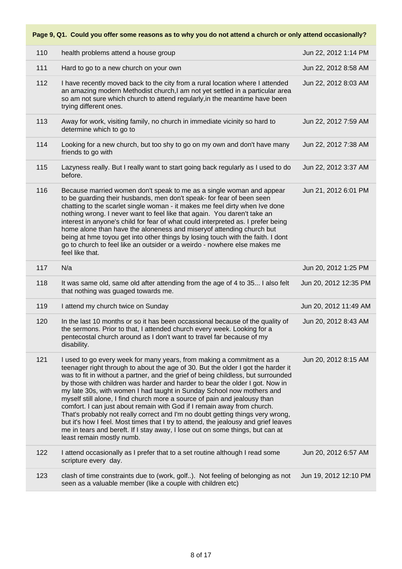| 110 | health problems attend a house group                                                                                                                                                                                                                                                                                                                                                                                                                                                                                                                                                                                                                                                                                                                                                                                                                   | Jun 22, 2012 1:14 PM  |
|-----|--------------------------------------------------------------------------------------------------------------------------------------------------------------------------------------------------------------------------------------------------------------------------------------------------------------------------------------------------------------------------------------------------------------------------------------------------------------------------------------------------------------------------------------------------------------------------------------------------------------------------------------------------------------------------------------------------------------------------------------------------------------------------------------------------------------------------------------------------------|-----------------------|
| 111 | Hard to go to a new church on your own                                                                                                                                                                                                                                                                                                                                                                                                                                                                                                                                                                                                                                                                                                                                                                                                                 | Jun 22, 2012 8:58 AM  |
| 112 | I have recently moved back to the city from a rural location where I attended<br>an amazing modern Methodist church,I am not yet settled in a particular area<br>so am not sure which church to attend regularly, in the meantime have been<br>trying different ones.                                                                                                                                                                                                                                                                                                                                                                                                                                                                                                                                                                                  | Jun 22, 2012 8:03 AM  |
| 113 | Away for work, visiting family, no church in immediate vicinity so hard to<br>determine which to go to                                                                                                                                                                                                                                                                                                                                                                                                                                                                                                                                                                                                                                                                                                                                                 | Jun 22, 2012 7:59 AM  |
| 114 | Looking for a new church, but too shy to go on my own and don't have many<br>friends to go with                                                                                                                                                                                                                                                                                                                                                                                                                                                                                                                                                                                                                                                                                                                                                        | Jun 22, 2012 7:38 AM  |
| 115 | Lazyness really. But I really want to start going back regularly as I used to do<br>before.                                                                                                                                                                                                                                                                                                                                                                                                                                                                                                                                                                                                                                                                                                                                                            | Jun 22, 2012 3:37 AM  |
| 116 | Because married women don't speak to me as a single woman and appear<br>to be guarding their husbands, men don't speak- for fear of been seen<br>chatting to the scarlet single woman - it makes me feel dirty when Ive done<br>nothing wrong. I never want to feel like that again. You daren't take an<br>interest in anyone's child for fear of what could interpreted as. I prefer being<br>home alone than have the aloneness and misery of attending church but<br>being at hme toyou get into other things by losing touch with the faith. I dont<br>go to church to feel like an outsider or a weirdo - nowhere else makes me<br>feel like that.                                                                                                                                                                                               | Jun 21, 2012 6:01 PM  |
| 117 | N/a                                                                                                                                                                                                                                                                                                                                                                                                                                                                                                                                                                                                                                                                                                                                                                                                                                                    | Jun 20, 2012 1:25 PM  |
| 118 | It was same old, same old after attending from the age of 4 to 35 I also felt<br>that nothing was guaged towards me.                                                                                                                                                                                                                                                                                                                                                                                                                                                                                                                                                                                                                                                                                                                                   | Jun 20, 2012 12:35 PM |
| 119 | I attend my church twice on Sunday                                                                                                                                                                                                                                                                                                                                                                                                                                                                                                                                                                                                                                                                                                                                                                                                                     | Jun 20, 2012 11:49 AM |
| 120 | In the last 10 months or so it has been occassional because of the quality of<br>the sermons. Prior to that, I attended church every week. Looking for a<br>pentecostal church around as I don't want to travel far because of my<br>disability.                                                                                                                                                                                                                                                                                                                                                                                                                                                                                                                                                                                                       | Jun 20, 2012 8:43 AM  |
| 121 | I used to go every week for many years, from making a commitment as a<br>teenager right through to about the age of 30. But the older I got the harder it<br>was to fit in without a partner, and the grief of being childless, but surrounded<br>by those with children was harder and harder to bear the older I got. Now in<br>my late 30s, with women I had taught in Sunday School now mothers and<br>myself still alone, I find church more a source of pain and jealousy than<br>comfort. I can just about remain with God if I remain away from church.<br>That's probably not really correct and I'm no doubt getting things very wrong,<br>but it's how I feel. Most times that I try to attend, the jealousy and grief leaves<br>me in tears and bereft. If I stay away, I lose out on some things, but can at<br>least remain mostly numb. | Jun 20, 2012 8:15 AM  |
| 122 | I attend occasionally as I prefer that to a set routine although I read some<br>scripture every day.                                                                                                                                                                                                                                                                                                                                                                                                                                                                                                                                                                                                                                                                                                                                                   | Jun 20, 2012 6:57 AM  |
| 123 | clash of time constraints due to (work, golf). Not feeling of belonging as not<br>seen as a valuable member (like a couple with children etc)                                                                                                                                                                                                                                                                                                                                                                                                                                                                                                                                                                                                                                                                                                          | Jun 19, 2012 12:10 PM |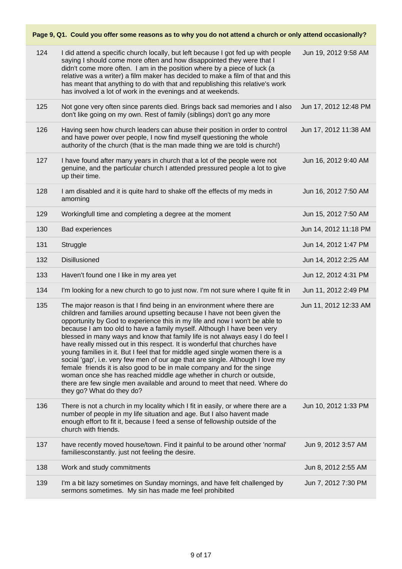| 124 | I did attend a specific church locally, but left because I got fed up with people<br>saying I should come more often and how disappointed they were that I<br>didn't come more often. I am in the position where by a piece of luck (a<br>relative was a writer) a film maker has decided to make a film of that and this<br>has meant that anything to do with that and republishing this relative's work<br>has involved a lot of work in the evenings and at weekends.                                                                                                                                                                                                                                                                                                                                                                                                                                  | Jun 19, 2012 9:58 AM  |
|-----|------------------------------------------------------------------------------------------------------------------------------------------------------------------------------------------------------------------------------------------------------------------------------------------------------------------------------------------------------------------------------------------------------------------------------------------------------------------------------------------------------------------------------------------------------------------------------------------------------------------------------------------------------------------------------------------------------------------------------------------------------------------------------------------------------------------------------------------------------------------------------------------------------------|-----------------------|
| 125 | Not gone very often since parents died. Brings back sad memories and I also<br>don't like going on my own. Rest of family (siblings) don't go any more                                                                                                                                                                                                                                                                                                                                                                                                                                                                                                                                                                                                                                                                                                                                                     | Jun 17, 2012 12:48 PM |
| 126 | Having seen how church leaders can abuse their position in order to control<br>and have power over people, I now find myself questioning the whole<br>authority of the church (that is the man made thing we are told is church!)                                                                                                                                                                                                                                                                                                                                                                                                                                                                                                                                                                                                                                                                          | Jun 17, 2012 11:38 AM |
| 127 | I have found after many years in church that a lot of the people were not<br>genuine, and the particular church I attended pressured people a lot to give<br>up their time.                                                                                                                                                                                                                                                                                                                                                                                                                                                                                                                                                                                                                                                                                                                                | Jun 16, 2012 9:40 AM  |
| 128 | I am disabled and it is quite hard to shake off the effects of my meds in<br>amorning                                                                                                                                                                                                                                                                                                                                                                                                                                                                                                                                                                                                                                                                                                                                                                                                                      | Jun 16, 2012 7:50 AM  |
| 129 | Workingfull time and completing a degree at the moment                                                                                                                                                                                                                                                                                                                                                                                                                                                                                                                                                                                                                                                                                                                                                                                                                                                     | Jun 15, 2012 7:50 AM  |
| 130 | Bad experiences                                                                                                                                                                                                                                                                                                                                                                                                                                                                                                                                                                                                                                                                                                                                                                                                                                                                                            | Jun 14, 2012 11:18 PM |
| 131 | Struggle                                                                                                                                                                                                                                                                                                                                                                                                                                                                                                                                                                                                                                                                                                                                                                                                                                                                                                   | Jun 14, 2012 1:47 PM  |
| 132 | Disillusioned                                                                                                                                                                                                                                                                                                                                                                                                                                                                                                                                                                                                                                                                                                                                                                                                                                                                                              | Jun 14, 2012 2:25 AM  |
| 133 | Haven't found one I like in my area yet                                                                                                                                                                                                                                                                                                                                                                                                                                                                                                                                                                                                                                                                                                                                                                                                                                                                    | Jun 12, 2012 4:31 PM  |
| 134 | I'm looking for a new church to go to just now. I'm not sure where I quite fit in                                                                                                                                                                                                                                                                                                                                                                                                                                                                                                                                                                                                                                                                                                                                                                                                                          | Jun 11, 2012 2:49 PM  |
| 135 | The major reason is that I find being in an environment where there are<br>children and families around upsetting because I have not been given the<br>opportunity by God to experience this in my life and now I won't be able to<br>because I am too old to have a family myself. Although I have been very<br>blessed in many ways and know that family life is not always easy I do feel I<br>have really missed out in this respect. It is wonderful that churches have<br>young families in it. But I feel that for middle aged single women there is a<br>social 'gap', i.e. very few men of our age that are single. Although I love my<br>female friends it is also good to be in male company and for the singe<br>woman once she has reached middle age whether in church or outside,<br>there are few single men available and around to meet that need. Where do<br>they go? What do they do? | Jun 11, 2012 12:33 AM |
| 136 | There is not a church in my locality which I fit in easily, or where there are a<br>number of people in my life situation and age. But I also havent made<br>enough effort to fit it, because I feed a sense of fellowship outside of the<br>church with friends.                                                                                                                                                                                                                                                                                                                                                                                                                                                                                                                                                                                                                                          | Jun 10, 2012 1:33 PM  |
| 137 | have recently moved house/town. Find it painful to be around other 'normal'<br>familiesconstantly. just not feeling the desire.                                                                                                                                                                                                                                                                                                                                                                                                                                                                                                                                                                                                                                                                                                                                                                            | Jun 9, 2012 3:57 AM   |
| 138 | Work and study commitments                                                                                                                                                                                                                                                                                                                                                                                                                                                                                                                                                                                                                                                                                                                                                                                                                                                                                 | Jun 8, 2012 2:55 AM   |
| 139 | I'm a bit lazy sometimes on Sunday mornings, and have felt challenged by<br>sermons sometimes. My sin has made me feel prohibited                                                                                                                                                                                                                                                                                                                                                                                                                                                                                                                                                                                                                                                                                                                                                                          | Jun 7, 2012 7:30 PM   |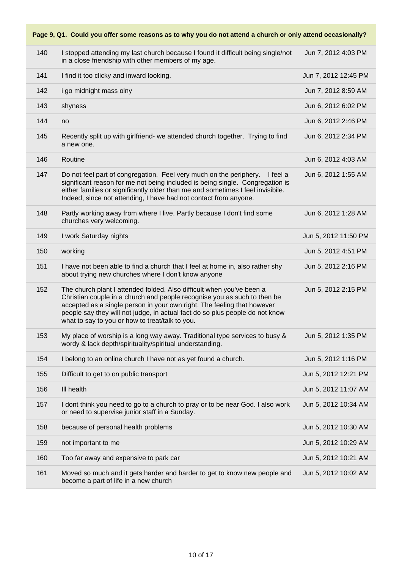## **Page 9, Q1. Could you offer some reasons as to why you do not attend a church or only attend occasionally?** 140 I stopped attending my last church because I found it difficult being single/not in a close friendship with other members of my age. Jun 7, 2012 4:03 PM 141 I find it too clicky and inward looking. Jun 7, 2012 12:45 PM 142 i go midnight mass olny Jun 7, 2012 8:59 AM 143 shyness Jun 6, 2012 6:02 PM 144 no Jun 6, 2012 2:46 PM 145 Recently split up with girlfriend- we attended church together. Trying to find a new one. Jun 6, 2012 2:34 PM 146 Routine Jun 6, 2012 4:03 AM 147 Do not feel part of congregation. Feel very much on the periphery. I feel a significant reason for me not being included is being single. Congregation is either families or significantly older than me and sometimes I feel invisibile. Indeed, since not attending, I have had not contact from anyone. Jun 6, 2012 1:55 AM 148 Partly working away from where I live. Partly because I don't find some churches very welcoming. Jun 6, 2012 1:28 AM 149 I work Saturday nights Jun 5, 2012 11:50 PM 150 working Jun 5, 2012 4:51 PM 151 I have not been able to find a church that I feel at home in, also rather shy about trying new churches where I don't know anyone Jun 5, 2012 2:16 PM 152 The church plant I attended folded. Also difficult when you've been a Christian couple in a church and people recognise you as such to then be accepted as a single person in your own right. The feeling that however people say they will not judge, in actual fact do so plus people do not know what to say to you or how to treat/talk to you. Jun 5, 2012 2:15 PM 153 My place of worship is a long way away. Traditional type services to busy & wordy & lack depth/spirituality/spiritual understanding. Jun 5, 2012 1:35 PM 154 I belong to an online church I have not as yet found a church. Jun 5, 2012 1:16 PM 155 Difficult to get to on public transport Jun 5, 2012 12:21 PM 156 Ill health Jun 5, 2012 11:07 AM 157 I dont think you need to go to a church to pray or to be near God. I also work or need to supervise junior staff in a Sunday. Jun 5, 2012 10:34 AM 158 because of personal health problems Jun 5, 2012 10:30 AM 159 not important to me Jun 5, 2012 10:29 AM 160 Too far away and expensive to park car Jun 5, 2012 10:21 AM 161 Moved so much and it gets harder and harder to get to know new people and become a part of life in a new church Jun 5, 2012 10:02 AM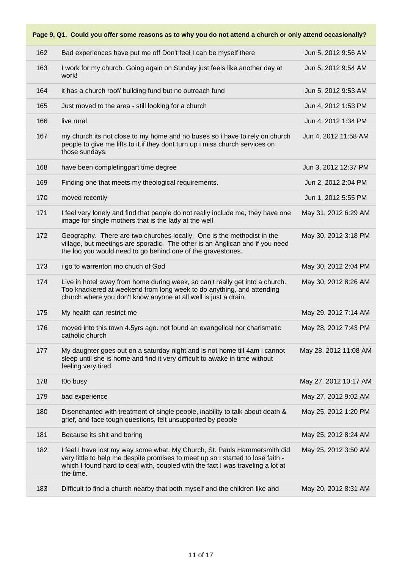| Page 9, Q1. Could you offer some reasons as to why you do not attend a church or only attend occasionally? |                                                                                                                                                                                                                                                              |                       |  |
|------------------------------------------------------------------------------------------------------------|--------------------------------------------------------------------------------------------------------------------------------------------------------------------------------------------------------------------------------------------------------------|-----------------------|--|
| 162                                                                                                        | Bad experiences have put me off Don't feel I can be myself there                                                                                                                                                                                             | Jun 5, 2012 9:56 AM   |  |
| 163                                                                                                        | I work for my church. Going again on Sunday just feels like another day at<br>work!                                                                                                                                                                          | Jun 5, 2012 9:54 AM   |  |
| 164                                                                                                        | it has a church roof/ building fund but no outreach fund                                                                                                                                                                                                     | Jun 5, 2012 9:53 AM   |  |
| 165                                                                                                        | Just moved to the area - still looking for a church                                                                                                                                                                                                          | Jun 4, 2012 1:53 PM   |  |
| 166                                                                                                        | live rural                                                                                                                                                                                                                                                   | Jun 4, 2012 1:34 PM   |  |
| 167                                                                                                        | my church its not close to my home and no buses so i have to rely on church<br>people to give me lifts to it.if they dont turn up i miss church services on<br>those sundays.                                                                                | Jun 4, 2012 11:58 AM  |  |
| 168                                                                                                        | have been completingpart time degree                                                                                                                                                                                                                         | Jun 3, 2012 12:37 PM  |  |
| 169                                                                                                        | Finding one that meets my theological requirements.                                                                                                                                                                                                          | Jun 2, 2012 2:04 PM   |  |
| 170                                                                                                        | moved recently                                                                                                                                                                                                                                               | Jun 1, 2012 5:55 PM   |  |
| 171                                                                                                        | I feel very lonely and find that people do not really include me, they have one<br>image for single mothers that is the lady at the well                                                                                                                     | May 31, 2012 6:29 AM  |  |
| 172                                                                                                        | Geography. There are two churches locally. One is the methodist in the<br>village, but meetings are sporadic. The other is an Anglican and if you need<br>the loo you would need to go behind one of the gravestones.                                        | May 30, 2012 3:18 PM  |  |
| 173                                                                                                        | i go to warrenton mo.chuch of God                                                                                                                                                                                                                            | May 30, 2012 2:04 PM  |  |
| 174                                                                                                        | Live in hotel away from home during week, so can't really get into a church.<br>Too knackered at weekend from long week to do anything, and attending<br>church where you don't know anyone at all well is just a drain.                                     | May 30, 2012 8:26 AM  |  |
| 175                                                                                                        | My health can restrict me                                                                                                                                                                                                                                    | May 29, 2012 7:14 AM  |  |
| 176                                                                                                        | moved into this town 4.5yrs ago. not found an evangelical nor charismatic<br>catholic church                                                                                                                                                                 | May 28, 2012 7:43 PM  |  |
| 177                                                                                                        | My daughter goes out on a saturday night and is not home till 4am i cannot<br>sleep until she is home and find it very difficult to awake in time without<br>feeling very tired                                                                              | May 28, 2012 11:08 AM |  |
| 178                                                                                                        | t0o busy                                                                                                                                                                                                                                                     | May 27, 2012 10:17 AM |  |
| 179                                                                                                        | bad experience                                                                                                                                                                                                                                               | May 27, 2012 9:02 AM  |  |
| 180                                                                                                        | Disenchanted with treatment of single people, inability to talk about death &<br>grief, and face tough questions, felt unsupported by people                                                                                                                 | May 25, 2012 1:20 PM  |  |
| 181                                                                                                        | Because its shit and boring                                                                                                                                                                                                                                  | May 25, 2012 8:24 AM  |  |
| 182                                                                                                        | I feel I have lost my way some what. My Church, St. Pauls Hammersmith did<br>very little to help me despite promises to meet up so I started to lose faith -<br>which I found hard to deal with, coupled with the fact I was traveling a lot at<br>the time. | May 25, 2012 3:50 AM  |  |
| 183                                                                                                        | Difficult to find a church nearby that both myself and the children like and                                                                                                                                                                                 | May 20, 2012 8:31 AM  |  |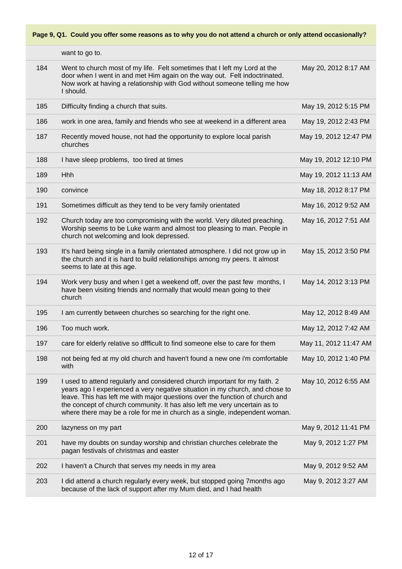|     | want to go to.                                                                                                                                                                                                                                                                                                                                                                                        |                       |
|-----|-------------------------------------------------------------------------------------------------------------------------------------------------------------------------------------------------------------------------------------------------------------------------------------------------------------------------------------------------------------------------------------------------------|-----------------------|
| 184 | Went to church most of my life. Felt sometimes that I left my Lord at the<br>door when I went in and met Him again on the way out. Felt indoctrinated.<br>Now work at having a relationship with God without someone telling me how<br>I should.                                                                                                                                                      | May 20, 2012 8:17 AM  |
| 185 | Difficulty finding a church that suits.                                                                                                                                                                                                                                                                                                                                                               | May 19, 2012 5:15 PM  |
| 186 | work in one area, family and friends who see at weekend in a different area                                                                                                                                                                                                                                                                                                                           | May 19, 2012 2:43 PM  |
| 187 | Recently moved house, not had the opportunity to explore local parish<br>churches                                                                                                                                                                                                                                                                                                                     | May 19, 2012 12:47 PM |
| 188 | I have sleep problems, too tired at times                                                                                                                                                                                                                                                                                                                                                             | May 19, 2012 12:10 PM |
| 189 | <b>Hhh</b>                                                                                                                                                                                                                                                                                                                                                                                            | May 19, 2012 11:13 AM |
| 190 | convince                                                                                                                                                                                                                                                                                                                                                                                              | May 18, 2012 8:17 PM  |
| 191 | Sometimes difficult as they tend to be very family orientated                                                                                                                                                                                                                                                                                                                                         | May 16, 2012 9:52 AM  |
| 192 | Church today are too compromising with the world. Very diluted preaching.<br>Worship seems to be Luke warm and almost too pleasing to man. People in<br>church not welcoming and look depressed.                                                                                                                                                                                                      | May 16, 2012 7:51 AM  |
| 193 | It's hard being single in a family orientated atmosphere. I did not grow up in<br>the church and it is hard to build relationships among my peers. It almost<br>seems to late at this age.                                                                                                                                                                                                            | May 15, 2012 3:50 PM  |
| 194 | Work very busy and when I get a weekend off, over the past few months, I<br>have been visiting friends and normally that would mean going to their<br>church                                                                                                                                                                                                                                          | May 14, 2012 3:13 PM  |
| 195 | I am currently between churches so searching for the right one.                                                                                                                                                                                                                                                                                                                                       | May 12, 2012 8:49 AM  |
| 196 | Too much work.                                                                                                                                                                                                                                                                                                                                                                                        | May 12, 2012 7:42 AM  |
| 197 | care for elderly relative so dffficult to find someone else to care for them                                                                                                                                                                                                                                                                                                                          | May 11, 2012 11:47 AM |
| 198 | not being fed at my old church and haven't found a new one i'm comfortable<br>with                                                                                                                                                                                                                                                                                                                    | May 10, 2012 1:40 PM  |
| 199 | I used to attend regularly and considered church important for my faith. 2<br>years ago I experienced a very negative situation in my church, and chose to<br>leave. This has left me with major questions over the function of church and<br>the concept of church community. It has also left me very uncertain as to<br>where there may be a role for me in church as a single, independent woman. | May 10, 2012 6:55 AM  |
| 200 | lazyness on my part                                                                                                                                                                                                                                                                                                                                                                                   | May 9, 2012 11:41 PM  |
| 201 | have my doubts on sunday worship and christian churches celebrate the<br>pagan festivals of christmas and easter                                                                                                                                                                                                                                                                                      | May 9, 2012 1:27 PM   |
| 202 | I haven't a Church that serves my needs in my area                                                                                                                                                                                                                                                                                                                                                    | May 9, 2012 9:52 AM   |
| 203 | I did attend a church regularly every week, but stopped going 7 months ago<br>because of the lack of support after my Mum died, and I had health                                                                                                                                                                                                                                                      | May 9, 2012 3:27 AM   |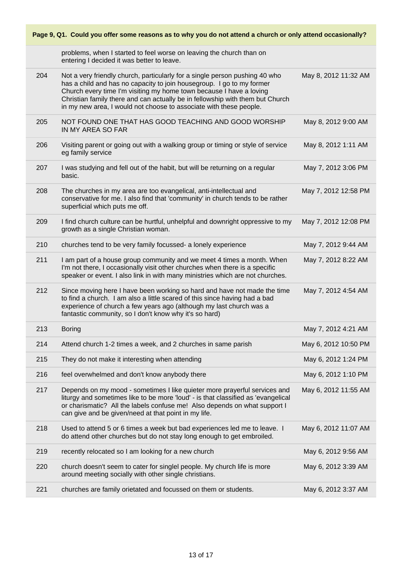| Page 9, Q1. Could you offer some reasons as to why you do not attend a church or only attend occasionally? |                                                                                                                                                                                                                                                                                                                                                                                    |                      |
|------------------------------------------------------------------------------------------------------------|------------------------------------------------------------------------------------------------------------------------------------------------------------------------------------------------------------------------------------------------------------------------------------------------------------------------------------------------------------------------------------|----------------------|
|                                                                                                            | problems, when I started to feel worse on leaving the church than on<br>entering I decided it was better to leave.                                                                                                                                                                                                                                                                 |                      |
| 204                                                                                                        | Not a very friendly church, particularly for a single person pushing 40 who<br>has a child and has no capacity to join housegroup. I go to my former<br>Church every time I'm visiting my home town because I have a loving<br>Christian family there and can actually be in fellowship with them but Church<br>in my new area, I would not choose to associate with these people. | May 8, 2012 11:32 AM |
| 205                                                                                                        | NOT FOUND ONE THAT HAS GOOD TEACHING AND GOOD WORSHIP<br>IN MY AREA SO FAR                                                                                                                                                                                                                                                                                                         | May 8, 2012 9:00 AM  |
| 206                                                                                                        | Visiting parent or going out with a walking group or timing or style of service<br>eg family service                                                                                                                                                                                                                                                                               | May 8, 2012 1:11 AM  |
| 207                                                                                                        | I was studying and fell out of the habit, but will be returning on a regular<br>basic.                                                                                                                                                                                                                                                                                             | May 7, 2012 3:06 PM  |
| 208                                                                                                        | The churches in my area are too evangelical, anti-intellectual and<br>conservative for me. I also find that 'community' in church tends to be rather<br>superficial which puts me off.                                                                                                                                                                                             | May 7, 2012 12:58 PM |
| 209                                                                                                        | I find church culture can be hurtful, unhelpful and downright oppressive to my<br>growth as a single Christian woman.                                                                                                                                                                                                                                                              | May 7, 2012 12:08 PM |
| 210                                                                                                        | churches tend to be very family focussed- a lonely experience                                                                                                                                                                                                                                                                                                                      | May 7, 2012 9:44 AM  |
| 211                                                                                                        | I am part of a house group community and we meet 4 times a month. When<br>I'm not there, I occasionally visit other churches when there is a specific<br>speaker or event. I also link in with many ministries which are not churches.                                                                                                                                             | May 7, 2012 8:22 AM  |
| 212                                                                                                        | Since moving here I have been working so hard and have not made the time<br>to find a church. I am also a little scared of this since having had a bad<br>experience of church a few years ago (although my last church was a<br>fantastic community, so I don't know why it's so hard)                                                                                            | May 7, 2012 4:54 AM  |
| 213                                                                                                        | <b>Boring</b>                                                                                                                                                                                                                                                                                                                                                                      | May 7, 2012 4:21 AM  |
| 214                                                                                                        | Attend church 1-2 times a week, and 2 churches in same parish                                                                                                                                                                                                                                                                                                                      | May 6, 2012 10:50 PM |
| 215                                                                                                        | They do not make it interesting when attending                                                                                                                                                                                                                                                                                                                                     | May 6, 2012 1:24 PM  |
| 216                                                                                                        | feel overwhelmed and don't know anybody there                                                                                                                                                                                                                                                                                                                                      | May 6, 2012 1:10 PM  |
| 217                                                                                                        | Depends on my mood - sometimes I like quieter more prayerful services and<br>liturgy and sometimes like to be more 'loud' - is that classified as 'evangelical<br>or charismatic? All the labels confuse me! Also depends on what support I<br>can give and be given/need at that point in my life.                                                                                | May 6, 2012 11:55 AM |
| 218                                                                                                        | Used to attend 5 or 6 times a week but bad experiences led me to leave. I<br>do attend other churches but do not stay long enough to get embroiled.                                                                                                                                                                                                                                | May 6, 2012 11:07 AM |
| 219                                                                                                        | recently relocated so I am looking for a new church                                                                                                                                                                                                                                                                                                                                | May 6, 2012 9:56 AM  |
| 220                                                                                                        | church doesn't seem to cater for singlel people. My church life is more<br>around meeting socially with other single christians.                                                                                                                                                                                                                                                   | May 6, 2012 3:39 AM  |
| 221                                                                                                        | churches are family orietated and focussed on them or students.                                                                                                                                                                                                                                                                                                                    | May 6, 2012 3:37 AM  |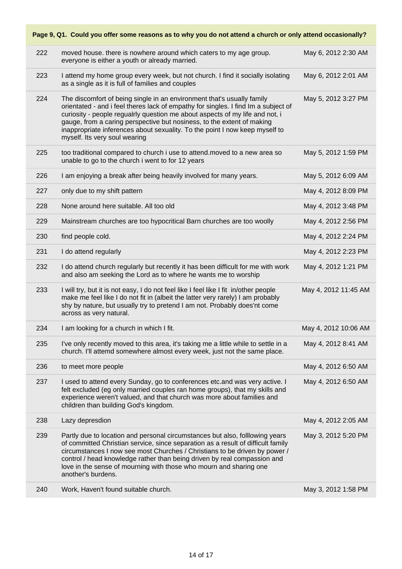| Page 9, Q1. Could you offer some reasons as to why you do not attend a church or only attend occasionally? |                                                                                                                                                                                                                                                                                                                                                                                                                                        |                      |  |
|------------------------------------------------------------------------------------------------------------|----------------------------------------------------------------------------------------------------------------------------------------------------------------------------------------------------------------------------------------------------------------------------------------------------------------------------------------------------------------------------------------------------------------------------------------|----------------------|--|
| 222                                                                                                        | moved house. there is nowhere around which caters to my age group.<br>everyone is either a youth or already married.                                                                                                                                                                                                                                                                                                                   | May 6, 2012 2:30 AM  |  |
| 223                                                                                                        | I attend my home group every week, but not church. I find it socially isolating<br>as a single as it is full of families and couples                                                                                                                                                                                                                                                                                                   | May 6, 2012 2:01 AM  |  |
| 224                                                                                                        | The discomfort of being single in an environment that's usually family<br>orientated - and i feel theres lack of empathy for singles. I find Im a subject of<br>curiosity - people regualrly question me about aspects of my life and not, i<br>gauge, from a caring perspective but nosiness, to the extent of making<br>inappropriate inferences about sexuality. To the point I now keep myself to<br>myself. Its very soul wearing | May 5, 2012 3:27 PM  |  |
| 225                                                                                                        | too traditional compared to church i use to attend. moved to a new area so<br>unable to go to the church i went to for 12 years                                                                                                                                                                                                                                                                                                        | May 5, 2012 1:59 PM  |  |
| 226                                                                                                        | I am enjoying a break after being heavily involved for many years.                                                                                                                                                                                                                                                                                                                                                                     | May 5, 2012 6:09 AM  |  |
| 227                                                                                                        | only due to my shift pattern                                                                                                                                                                                                                                                                                                                                                                                                           | May 4, 2012 8:09 PM  |  |
| 228                                                                                                        | None around here suitable. All too old                                                                                                                                                                                                                                                                                                                                                                                                 | May 4, 2012 3:48 PM  |  |
| 229                                                                                                        | Mainstream churches are too hypocritical Barn churches are too woolly                                                                                                                                                                                                                                                                                                                                                                  | May 4, 2012 2:56 PM  |  |
| 230                                                                                                        | find people cold.                                                                                                                                                                                                                                                                                                                                                                                                                      | May 4, 2012 2:24 PM  |  |
| 231                                                                                                        | I do attend regularly                                                                                                                                                                                                                                                                                                                                                                                                                  | May 4, 2012 2:23 PM  |  |
| 232                                                                                                        | I do attend church regularly but recently it has been difficult for me with work<br>and also am seeking the Lord as to where he wants me to worship                                                                                                                                                                                                                                                                                    | May 4, 2012 1:21 PM  |  |
| 233                                                                                                        | I will try, but it is not easy, I do not feel like I feel like I fit in/other people<br>make me feel like I do not fit in (albeit the latter very rarely) I am probably<br>shy by nature, but usually try to pretend I am not. Probably does'nt come<br>across as very natural.                                                                                                                                                        | May 4, 2012 11:45 AM |  |
| 234                                                                                                        | I am looking for a church in which I fit.                                                                                                                                                                                                                                                                                                                                                                                              | May 4, 2012 10:06 AM |  |
| 235                                                                                                        | I've only recently moved to this area, it's taking me a little while to settle in a<br>church. I'll attemd somewhere almost every week, just not the same place.                                                                                                                                                                                                                                                                       | May 4, 2012 8:41 AM  |  |
| 236                                                                                                        | to meet more people                                                                                                                                                                                                                                                                                                                                                                                                                    | May 4, 2012 6:50 AM  |  |
| 237                                                                                                        | I used to attend every Sunday, go to conferences etc. and was very active. I<br>felt excluded (eg only married couples ran home groups), that my skills and<br>experience weren't valued, and that church was more about families and<br>children than building God's kingdom.                                                                                                                                                         | May 4, 2012 6:50 AM  |  |
| 238                                                                                                        | Lazy depresdion                                                                                                                                                                                                                                                                                                                                                                                                                        | May 4, 2012 2:05 AM  |  |
| 239                                                                                                        | Partly due to location and personal circumstances but also, folllowing years<br>of committed Christian service, since separation as a result of difficult family<br>circumstances I now see most Churches / Christians to be driven by power /<br>control / head knowledge rather than being driven by real compassion and<br>love in the sense of mourning with those who mourn and sharing one<br>another's burdens.                 | May 3, 2012 5:20 PM  |  |
| 240                                                                                                        | Work, Haven't found suitable church.                                                                                                                                                                                                                                                                                                                                                                                                   | May 3, 2012 1:58 PM  |  |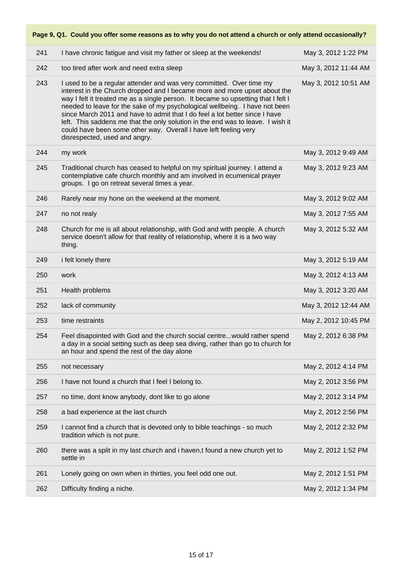# **Page 9, Q1. Could you offer some reasons as to why you do not attend a church or only attend occasionally?** 241 I have chronic fatigue and visit my father or sleep at the weekends! May 3, 2012 1:22 PM 242 too tired after work and need extra sleep May 3, 2012 11:44 AM 243 I used to be a regular attender and was very committed. Over time my interest in the Church dropped and I became more and more upset about the way I felt it treated me as a single person. It became so upsetting that I felt I needed to leave for the sake of my psychological wellbeing. I have not been since March 2011 and have to admit that I do feel a lot better since I have left. This saddens me that the only solution in the end was to leave. I wish it could have been some other way. Overall I have left feeling very disrespected, used and angry. May 3, 2012 10:51 AM 244 my work May 3, 2012 9:49 AM 245 Traditional church has ceased to helpful on my spiritual journey. I attend a contemplative cafe church monthly and am involved in ecumenical prayer groups. I go on retreat several times a year. May 3, 2012 9:23 AM 246 Rarely near my hone on the weekend at the moment. May 3, 2012 9:02 AM 247 **has no not realy and the set of the set of the set of the set of the set of the set of the set of the set of the set of the set of the set of the set of the set of the set of the set of the set of the set of the set o** 248 Church for me is all about relationship, with God and with people. A church service doesn't allow for that reality of relationship, where it is a two way thing. May 3, 2012 5:32 AM 249 if elt lonely there May 3, 2012 5:19 AM 250 work May 3, 2012 4:13 AM 251 Health problems May 3, 2012 3:20 AM 252 lack of community May 3, 2012 12:44 AM 253 time restraints and the matter of the matter of the matter of the May 2, 2012 10:45 PM 254 Feel disapointed with God and the church social centre...would rather spend a day in a social setting such as deep sea diving, rather than go to church for an hour and spend the rest of the day alone May 2, 2012 6:38 PM 255 not necessary May 2, 2012 4:14 PM 256 I have not found a church that I feel I belong to. May 2, 2012 3:56 PM 257 **but also time, dont know anybody, dont like to go alone** May 2, 2012 3:14 PM 258 a bad experience at the last church May 2, 2012 2:56 PM 259 I cannot find a church that is devoted only to bible teachings - so much tradition which is not pure. May 2, 2012 2:32 PM 260 there was a split in my last church and i haven,t found a new church yet to settle in May 2, 2012 1:52 PM 261 Lonely going on own when in thirties, you feel odd one out. May 2, 2012 1:51 PM 262 Difficulty finding a niche. May 2, 2012 1:34 PM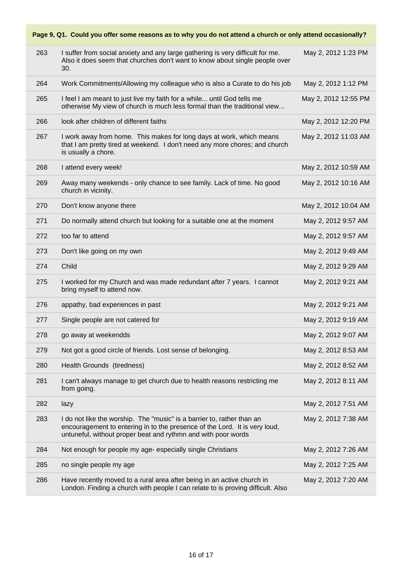| Page 9, Q1. Could you offer some reasons as to why you do not attend a church or only attend occasionally? |                                                                                                                                                                                                                       |                      |  |
|------------------------------------------------------------------------------------------------------------|-----------------------------------------------------------------------------------------------------------------------------------------------------------------------------------------------------------------------|----------------------|--|
| 263                                                                                                        | I suffer from social anxiety and any large gathering is very difficult for me.<br>Also it does seem that churches don't want to know about single people over<br>30.                                                  | May 2, 2012 1:23 PM  |  |
| 264                                                                                                        | Work Commitments/Allowing my colleague who is also a Curate to do his job                                                                                                                                             | May 2, 2012 1:12 PM  |  |
| 265                                                                                                        | I feel I am meant to just live my faith for a while until God tells me<br>otherwise My view of church is much less formal than the traditional view                                                                   | May 2, 2012 12:55 PM |  |
| 266                                                                                                        | look after children of different faiths                                                                                                                                                                               | May 2, 2012 12:20 PM |  |
| 267                                                                                                        | I work away from home. This makes for long days at work, which means<br>that I am pretty tired at weekend. I don't need any more chores; and church<br>is usually a chore.                                            | May 2, 2012 11:03 AM |  |
| 268                                                                                                        | I attend every week!                                                                                                                                                                                                  | May 2, 2012 10:59 AM |  |
| 269                                                                                                        | Away many weekends - only chance to see family. Lack of time. No good<br>church in vicinity.                                                                                                                          | May 2, 2012 10:16 AM |  |
| 270                                                                                                        | Don't know anyone there                                                                                                                                                                                               | May 2, 2012 10:04 AM |  |
| 271                                                                                                        | Do normally attend church but looking for a suitable one at the moment                                                                                                                                                | May 2, 2012 9:57 AM  |  |
| 272                                                                                                        | too far to attend                                                                                                                                                                                                     | May 2, 2012 9:57 AM  |  |
| 273                                                                                                        | Don't like going on my own                                                                                                                                                                                            | May 2, 2012 9:49 AM  |  |
| 274                                                                                                        | Child                                                                                                                                                                                                                 | May 2, 2012 9:29 AM  |  |
| 275                                                                                                        | I worked for my Church and was made redundant after 7 years. I cannot<br>bring myself to attend now.                                                                                                                  | May 2, 2012 9:21 AM  |  |
| 276                                                                                                        | appathy, bad experiences in past                                                                                                                                                                                      | May 2, 2012 9:21 AM  |  |
| 277                                                                                                        | Single people are not catered for                                                                                                                                                                                     | May 2, 2012 9:19 AM  |  |
| 278                                                                                                        | go away at weekendds                                                                                                                                                                                                  | May 2, 2012 9:07 AM  |  |
| 279                                                                                                        | Not got a good circle of friends. Lost sense of belonging.                                                                                                                                                            | May 2, 2012 8:53 AM  |  |
| 280                                                                                                        | Health Grounds (tiredness)                                                                                                                                                                                            | May 2, 2012 8:52 AM  |  |
| 281                                                                                                        | I can't always manage to get church due to health reasons restricting me<br>from going.                                                                                                                               | May 2, 2012 8:11 AM  |  |
| 282                                                                                                        | lazy                                                                                                                                                                                                                  | May 2, 2012 7:51 AM  |  |
| 283                                                                                                        | I do not like the worship. The "music" is a barrier to, rather than an<br>encouragement to entering in to the presence of the Lord. It is very loud,<br>untuneful, without proper beat and rythmn and with poor words | May 2, 2012 7:38 AM  |  |
| 284                                                                                                        | Not enough for people my age- especially single Christians                                                                                                                                                            | May 2, 2012 7:26 AM  |  |
| 285                                                                                                        | no single people my age                                                                                                                                                                                               | May 2, 2012 7:25 AM  |  |
| 286                                                                                                        | Have recently moved to a rural area after being in an active church in<br>London. Finding a church with people I can relate to is proving difficult. Also                                                             | May 2, 2012 7:20 AM  |  |